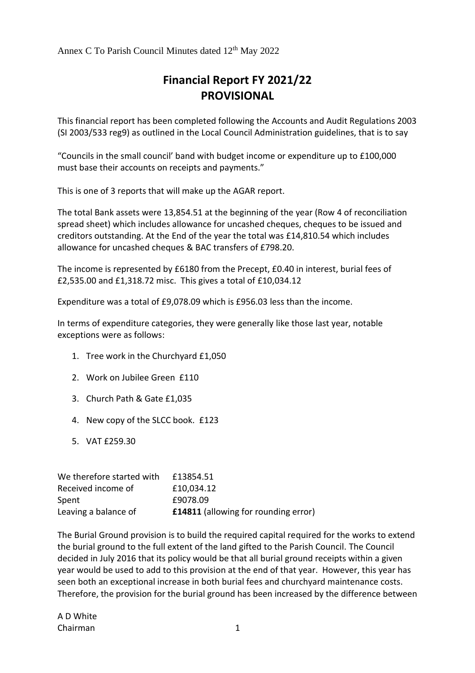Annex C To Parish Council Minutes dated 12<sup>th</sup> May 2022

## **Financial Report FY 2021/22 PROVISIONAL**

This financial report has been completed following the Accounts and Audit Regulations 2003 (SI 2003/533 reg9) as outlined in the Local Council Administration guidelines, that is to say

"Councils in the small council' band with budget income or expenditure up to £100,000 must base their accounts on receipts and payments."

This is one of 3 reports that will make up the AGAR report.

The total Bank assets were 13,854.51 at the beginning of the year (Row 4 of reconciliation spread sheet) which includes allowance for uncashed cheques, cheques to be issued and creditors outstanding. At the End of the year the total was £14,810.54 which includes allowance for uncashed cheques & BAC transfers of £798.20.

The income is represented by £6180 from the Precept, £0.40 in interest, burial fees of £2,535.00 and £1,318.72 misc. This gives a total of £10,034.12

Expenditure was a total of £9,078.09 which is £956.03 less than the income.

In terms of expenditure categories, they were generally like those last year, notable exceptions were as follows:

- 1. Tree work in the Churchyard £1,050
- 2. Work on Jubilee Green £110
- 3. Church Path & Gate £1,035
- 4. New copy of the SLCC book. £123
- 5. VAT £259.30

| We therefore started with | £13854.51                                   |
|---------------------------|---------------------------------------------|
| Received income of        | £10,034.12                                  |
| Spent                     | £9078.09                                    |
| Leaving a balance of      | <b>£14811</b> (allowing for rounding error) |

The Burial Ground provision is to build the required capital required for the works to extend the burial ground to the full extent of the land gifted to the Parish Council. The Council decided in July 2016 that its policy would be that all burial ground receipts within a given year would be used to add to this provision at the end of that year. However, this year has seen both an exceptional increase in both burial fees and churchyard maintenance costs. Therefore, the provision for the burial ground has been increased by the difference between